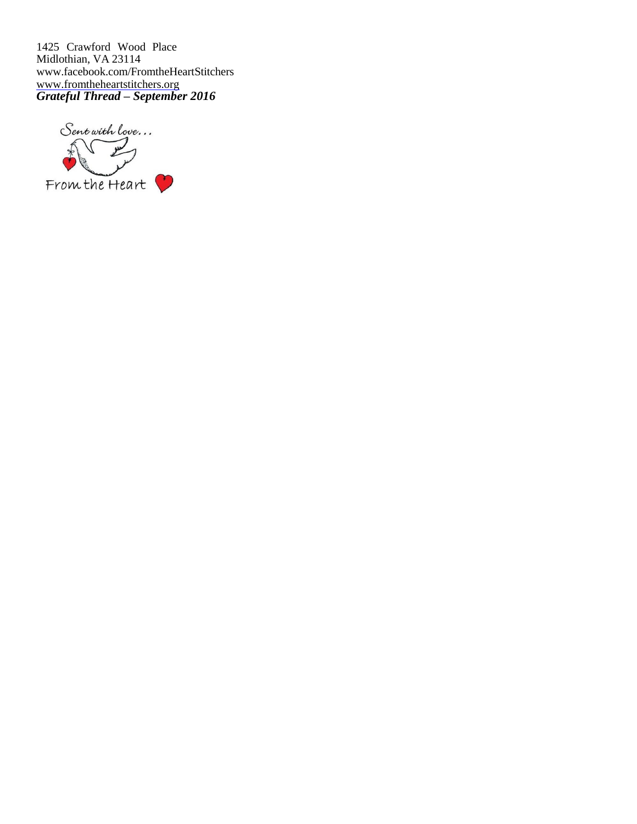1425 Crawford Wood Place Midlothian, VA 23114 [www.facebook.com/FromtheHeartStitchers](http://www.facebook.com/FromtheHeartStitchers) [www.fromtheheartstitchers.org](http://www.fromtheheartstitchers.org/) *Grateful Thread – September 2016*

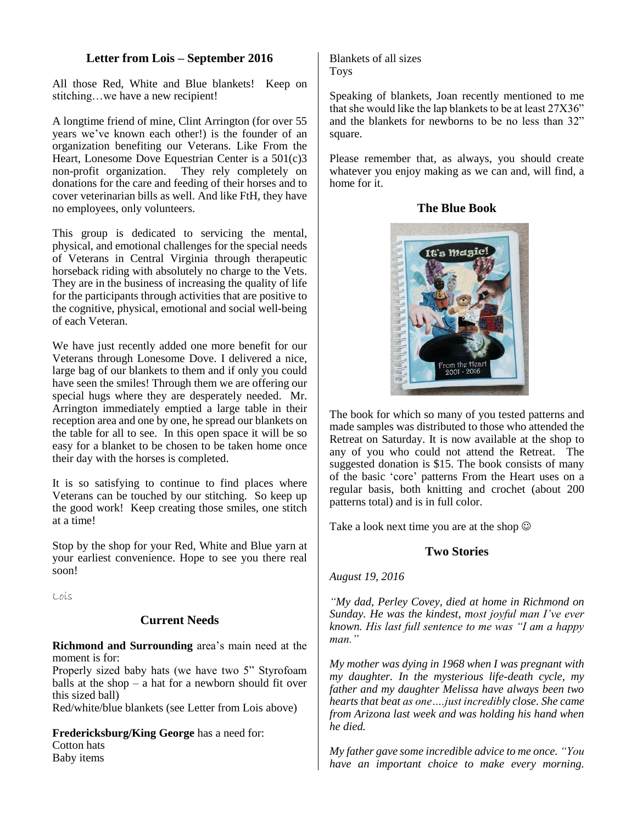# **Letter from Lois – September 2016**

All those Red, White and Blue blankets! Keep on stitching…we have a new recipient!

A longtime friend of mine, Clint Arrington (for over 55 years we've known each other!) is the founder of an organization benefiting our Veterans. Like From the Heart, Lonesome Dove Equestrian Center is a 501(c)3 non-profit organization. They rely completely on donations for the care and feeding of their horses and to cover veterinarian bills as well. And like FtH, they have no employees, only volunteers.

This group is dedicated to servicing the mental, physical, and emotional challenges for the special needs of Veterans in Central Virginia through therapeutic horseback riding with absolutely no charge to the Vets. They are in the business of increasing the quality of life for the participants through activities that are positive to the cognitive, physical, emotional and social well-being of each Veteran.

We have just recently added one more benefit for our Veterans through Lonesome Dove. I delivered a nice, large bag of our blankets to them and if only you could have seen the smiles! Through them we are offering our special hugs where they are desperately needed. Mr. Arrington immediately emptied a large table in their reception area and one by one, he spread our blankets on the table for all to see. In this open space it will be so easy for a blanket to be chosen to be taken home once their day with the horses is completed.

It is so satisfying to continue to find places where Veterans can be touched by our stitching. So keep up the good work! Keep creating those smiles, one stitch at a time!

Stop by the shop for your Red, White and Blue yarn at your earliest convenience. Hope to see you there real soon!

Lois

# **Current Needs**

**Richmond and Surrounding** area's main need at the moment is for:

Properly sized baby hats (we have two 5" Styrofoam balls at the shop – a hat for a newborn should fit over this sized ball)

Red/white/blue blankets (see Letter from Lois above)

**Fredericksburg/King George** has a need for: Cotton hats Baby items

Blankets of all sizes Toys

Speaking of blankets, Joan recently mentioned to me that she would like the lap blankets to be at least 27X36" and the blankets for newborns to be no less than 32" square.

Please remember that, as always, you should create whatever you enjoy making as we can and, will find, a home for it.





The book for which so many of you tested patterns and made samples was distributed to those who attended the Retreat on Saturday. It is now available at the shop to any of you who could not attend the Retreat. The suggested donation is \$15. The book consists of many of the basic 'core' patterns From the Heart uses on a regular basis, both knitting and crochet (about 200 patterns total) and is in full color.

Take a look next time you are at the shop  $\odot$ 

# **Two Stories**

*August 19, 2016*

*"My dad, Perley Covey, died at home in Richmond on Sunday. He was the kindest, most joyful man I've ever known. His last full sentence to me was "I am a happy man."*

*My mother was dying in 1968 when I was pregnant with my daughter. In the mysterious life-death cycle, my father and my daughter Melissa have always been two hearts that beat as one….just incredibly close. She came from Arizona last week and was holding his hand when he died.*

*My father gave some incredible advice to me once. "You have an important choice to make every morning.*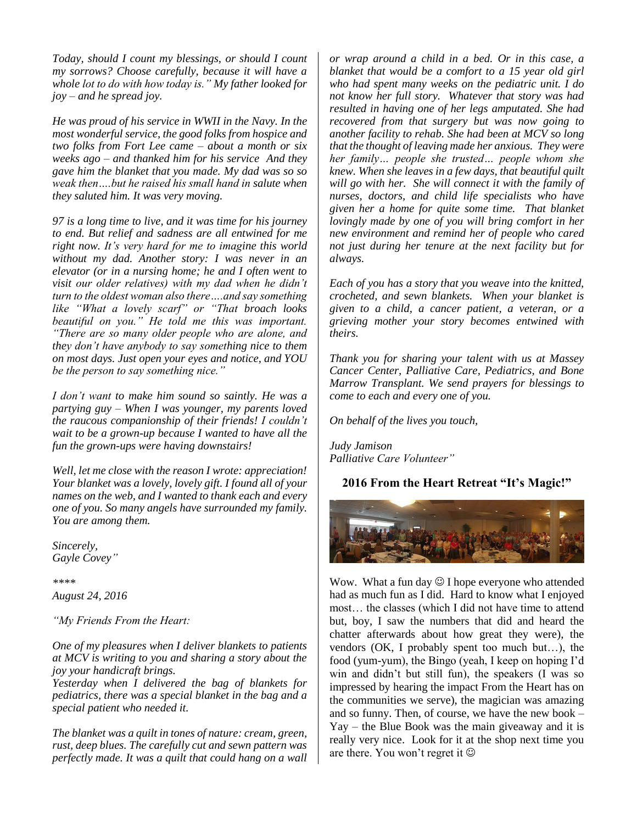*Today, should I count my blessings, or should I count my sorrows? Choose carefully, because it will have a whole lot to do with how today is." My father looked for joy – and he spread joy.*

*He was proud of his service in WWII in the Navy. In the most wonderful service, the good folks from hospice and two folks from Fort Lee came – about a month or six weeks ago – and thanked him for his service And they gave him the blanket that you made. My dad was so so weak then….but he raised his small hand in salute when they saluted him. It was very moving.*

*97 is a long time to live, and it was time for his journey to end. But relief and sadness are all entwined for me right now. It's very hard for me to imagine this world without my dad. Another story: I was never in an elevator (or in a nursing home; he and I often went to visit our older relatives) with my dad when he didn't turn to the oldest woman also there….and say something like "What a lovely scarf" or "That broach looks beautiful on you." He told me this was important. "There are so many older people who are alone, and they don't have anybody to say something nice to them on most days. Just open your eyes and notice, and YOU be the person to say something nice."*

*I don't want to make him sound so saintly. He was a partying guy – When I was younger, my parents loved the raucous companionship of their friends! I couldn't wait to be a grown-up because I wanted to have all the fun the grown-ups were having downstairs!*

*Well, let me close with the reason I wrote: appreciation! Your blanket was a lovely, lovely gift. I found all of your names on the web, and I wanted to thank each and every one of you. So many angels have surrounded my family. You are among them.*

*Sincerely, Gayle Covey"*

*\*\*\*\* August 24, 2016*

*"My Friends From the Heart:* 

*One of my pleasures when I deliver blankets to patients at MCV is writing to you and sharing a story about the joy your handicraft brings.* 

*Yesterday when I delivered the bag of blankets for pediatrics, there was a special blanket in the bag and a special patient who needed it.* 

*The blanket was a quilt in tones of nature: cream, green, rust, deep blues. The carefully cut and sewn pattern was perfectly made. It was a quilt that could hang on a wall*  *or wrap around a child in a bed. Or in this case, a blanket that would be a comfort to a 15 year old girl who had spent many weeks on the pediatric unit. I do not know her full story. Whatever that story was had resulted in having one of her legs amputated. She had recovered from that surgery but was now going to another facility to rehab. She had been at MCV so long that the thought of leaving made her anxious. They were her family… people she trusted… people whom she knew. When she leaves in a few days, that beautiful quilt will go with her. She will connect it with the family of nurses, doctors, and child life specialists who have given her a home for quite some time. That blanket lovingly made by one of you will bring comfort in her new environment and remind her of people who cared not just during her tenure at the next facility but for always.*

*Each of you has a story that you weave into the knitted, crocheted, and sewn blankets. When your blanket is given to a child, a cancer patient, a veteran, or a grieving mother your story becomes entwined with theirs.* 

*Thank you for sharing your talent with us at Massey Cancer Center, Palliative Care, Pediatrics, and Bone Marrow Transplant. We send prayers for blessings to come to each and every one of you.* 

*On behalf of the lives you touch,* 

*Judy Jamison Palliative Care Volunteer"*

# **2016 From the Heart Retreat "It's Magic!"**



Wow. What a fun day  $\odot$  I hope everyone who attended had as much fun as I did. Hard to know what I enjoyed most… the classes (which I did not have time to attend but, boy, I saw the numbers that did and heard the chatter afterwards about how great they were), the vendors (OK, I probably spent too much but…), the food (yum-yum), the Bingo (yeah, I keep on hoping I'd win and didn't but still fun), the speakers (I was so impressed by hearing the impact From the Heart has on the communities we serve), the magician was amazing and so funny. Then, of course, we have the new book – Yay – the Blue Book was the main giveaway and it is really very nice. Look for it at the shop next time you are there. You won't regret it  $\odot$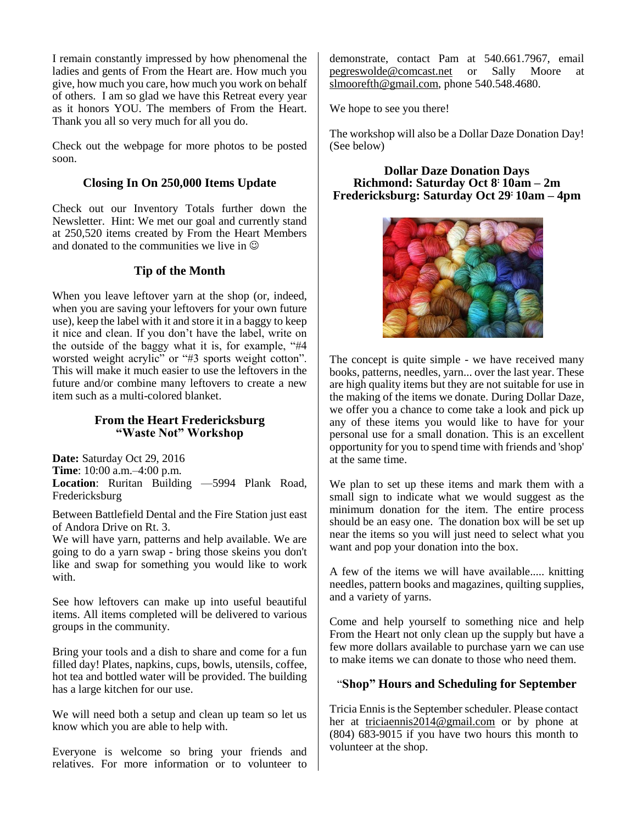I remain constantly impressed by how phenomenal the ladies and gents of From the Heart are. How much you give, how much you care, how much you work on behalf of others. I am so glad we have this Retreat every year as it honors YOU. The members of From the Heart. Thank you all so very much for all you do.

Check out the webpage for more photos to be posted soon.

### **Closing In On 250,000 Items Update**

Check out our Inventory Totals further down the Newsletter. Hint: We met our goal and currently stand at 250,520 items created by From the Heart Members and donated to the communities we live in  $\odot$ 

### **Tip of the Month**

When you leave leftover yarn at the shop (or, indeed, when you are saving your leftovers for your own future use), keep the label with it and store it in a baggy to keep it nice and clean. If you don't have the label, write on the outside of the baggy what it is, for example, "#4 worsted weight acrylic" or "#3 sports weight cotton". This will make it much easier to use the leftovers in the future and/or combine many leftovers to create a new item such as a multi-colored blanket.

### **From the Heart Fredericksburg "Waste Not" Workshop**

**Date:** Saturday Oct 29, 2016 **Time**: 10:00 a.m.–4:00 p.m. **Location**: Ruritan Building —5994 Plank Road, Fredericksburg

Between Battlefield Dental and the Fire Station just east of Andora Drive on Rt. 3.

We will have yarn, patterns and help available. We are going to do a yarn swap - bring those skeins you don't like and swap for something you would like to work with.

See how leftovers can make up into useful beautiful items. All items completed will be delivered to various groups in the community.

Bring your tools and a dish to share and come for a fun filled day! Plates, napkins, cups, bowls, utensils, coffee, hot tea and bottled water will be provided. The building has a large kitchen for our use.

We will need both a setup and clean up team so let us know which you are able to help with.

Everyone is welcome so bring your friends and relatives. For more information or to volunteer to demonstrate, contact Pam at 540.661.7967, email [pegreswolde@comcast.net](mailto:pegreswolde@comcast.net) or Sally Moore at [slmoorefth@gmail.com,](mailto:slmoorefth@gmail.com) phone 540.548.4680.

We hope to see you there!

The workshop will also be a Dollar Daze Donation Day! (See below)

#### **Dollar Daze Donation Days Richmond: Saturday Oct 8 : 10am – 2m Fredericksburg: Saturday Oct 29: 10am – 4pm**



The concept is quite simple - we have received many books, patterns, needles, yarn... over the last year. These are high quality items but they are not suitable for use in the making of the items we donate. During Dollar Daze, we offer you a chance to come take a look and pick up any of these items you would like to have for your personal use for a small donation. This is an excellent opportunity for you to spend time with friends and 'shop' at the same time.

We plan to set up these items and mark them with a small sign to indicate what we would suggest as the minimum donation for the item. The entire process should be an easy one. The donation box will be set up near the items so you will just need to select what you want and pop your donation into the box.

A few of the items we will have available..... knitting needles, pattern books and magazines, quilting supplies, and a variety of yarns.

Come and help yourself to something nice and help From the Heart not only clean up the supply but have a few more dollars available to purchase yarn we can use to make items we can donate to those who need them.

# "**Shop" Hours and Scheduling for September**

Tricia Ennis is the September scheduler. Please contact her at [triciaennis2014@gmail.com](mailto:triciaennis2014@gmail.com) or by phone at (804) 683-9015 if you have two hours this month to volunteer at the shop.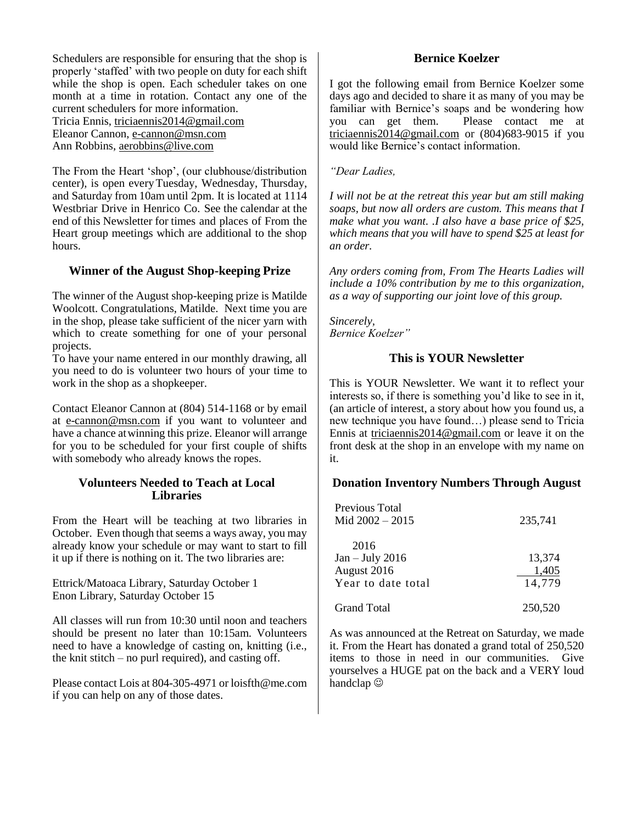Schedulers are responsible for ensuring that the shop is properly 'staffed' with two people on duty for each shift while the shop is open. Each scheduler takes on one month at a time in rotation. Contact any one of the current schedulers for more information.

Tricia Ennis, [triciaennis2014@gmail.com](mailto:ennis1000@verizon.net) Eleanor Cannon, [e-cannon@msn.com](mailto:e-cannon@msn.com) Ann Robbins, [aerobbins@live.com](mailto:aerobbins@live.com)

The From the Heart 'shop', (our clubhouse/distribution center), is open everyTuesday, Wednesday, Thursday, and Saturday from 10am until 2pm. It is located at 1114 Westbriar Drive in Henrico Co. See the calendar at the end of this Newsletter for times and places of From the Heart group meetings which are additional to the shop hours.

# **Winner of the August Shop-keeping Prize**

The winner of the August shop-keeping prize is Matilde Woolcott. Congratulations, Matilde. Next time you are in the shop, please take sufficient of the nicer yarn with which to create something for one of your personal projects.

To have your name entered in our monthly drawing, all you need to do is volunteer two hours of your time to work in the shop as a shopkeeper.

Contact Eleanor Cannon at (804) 514-1168 or by email at [e-cannon@msn.com](mailto:e-cannon@msn.com) if you want to volunteer and have a chance atwinning this prize. Eleanor will arrange for you to be scheduled for your first couple of shifts with somebody who already knows the ropes.

### **Volunteers Needed to Teach at Local Libraries**

From the Heart will be teaching at two libraries in October. Even though that seems a ways away, you may already know your schedule or may want to start to fill it up if there is nothing on it. The two libraries are:

#### Ettrick/Matoaca Library, Saturday October 1 Enon Library, Saturday October 15

All classes will run from 10:30 until noon and teachers should be present no later than 10:15am. Volunteers need to have a knowledge of casting on, knitting (i.e., the knit stitch – no purl required), and casting off.

Please contact Lois at 804-305-4971 or loisfth@me.com if you can help on any of those dates.

### **Bernice Koelzer**

I got the following email from Bernice Koelzer some days ago and decided to share it as many of you may be familiar with Bernice's soaps and be wondering how you can get them. Please contact me at [triciaennis2014@gmail.com](mailto:triciaennis2014@gmail.com) or (804)683-9015 if you would like Bernice's contact information.

*"Dear Ladies,* 

*I will not be at the retreat this year but am still making soaps, but now all orders are custom. This means that I make what you want. .I also have a base price of \$25, which means that you will have to spend \$25 at least for an order.*

*Any orders coming from, From The Hearts Ladies will include a 10% contribution by me to this organization, as a way of supporting our joint love of this group.*

*Sincerely, Bernice Koelzer"*

### **This is YOUR Newsletter**

This is YOUR Newsletter. We want it to reflect your interests so, if there is something you'd like to see in it, (an article of interest, a story about how you found us, a new technique you have found…) please send to Tricia Ennis at [triciaennis2014@gmail.com](mailto:ennis1000@verizon.net) or leave it on the front desk at the shop in an envelope with my name on it.

#### **Donation Inventory Numbers Through August**

| Previous Total<br>Mid $2002 - 2015$                            | 235,741                   |
|----------------------------------------------------------------|---------------------------|
| 2016<br>$Jan - July 2016$<br>August 2016<br>Year to date total | 13,374<br>1,405<br>14,779 |
| <b>Grand Total</b>                                             | 250.520                   |

As was announced at the Retreat on Saturday, we made it. From the Heart has donated a grand total of 250,520 items to those in need in our communities. Give yourselves a HUGE pat on the back and a VERY loud handclap  $\odot$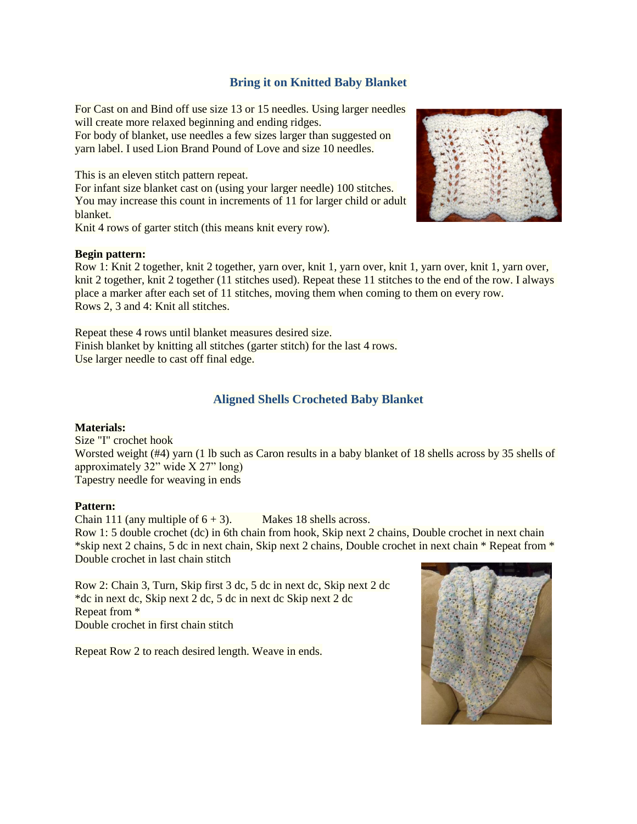# **Bring it on Knitted Baby Blanket**

For Cast on and Bind off use size 13 or 15 needles. Using larger needles will create more relaxed beginning and ending ridges.

For body of blanket, use needles a few sizes larger than suggested on yarn label. I used Lion Brand Pound of Love and size 10 needles.

This is an eleven stitch pattern repeat.

For infant size blanket cast on (using your larger needle) 100 stitches. You may increase this count in increments of 11 for larger child or adult blanket.

Knit 4 rows of garter stitch (this means knit every row).

#### **Begin pattern:**

Row 1: Knit 2 together, knit 2 together, yarn over, knit 1, yarn over, knit 1, yarn over, knit 1, yarn over, knit 2 together, knit 2 together (11 stitches used). Repeat these 11 stitches to the end of the row. I always place a marker after each set of 11 stitches, moving them when coming to them on every row. Rows 2, 3 and 4: Knit all stitches.

Repeat these 4 rows until blanket measures desired size. Finish blanket by knitting all stitches (garter stitch) for the last 4 rows. Use larger needle to cast off final edge.

### **Aligned Shells Crocheted Baby Blanket**

#### **Materials:**

Size "I" crochet hook Worsted weight (#4) yarn (1 lb such as Caron results in a baby blanket of 18 shells across by 35 shells of approximately 32" wide X 27" long) Tapestry needle for weaving in ends

#### **Pattern:**

Chain 111 (any multiple of  $6 + 3$ ). Makes 18 shells across.

Row 1: 5 double crochet (dc) in 6th chain from hook, Skip next 2 chains, Double crochet in next chain \*skip next 2 chains, 5 dc in next chain, Skip next 2 chains, Double crochet in next chain \* Repeat from \* Double crochet in last chain stitch

Row 2: Chain 3, Turn, Skip first 3 dc, 5 dc in next dc, Skip next 2 dc \*dc in next dc, Skip next 2 dc, 5 dc in next dc Skip next 2 dc Repeat from \* Double crochet in first chain stitch

Repeat Row 2 to reach desired length. Weave in ends.



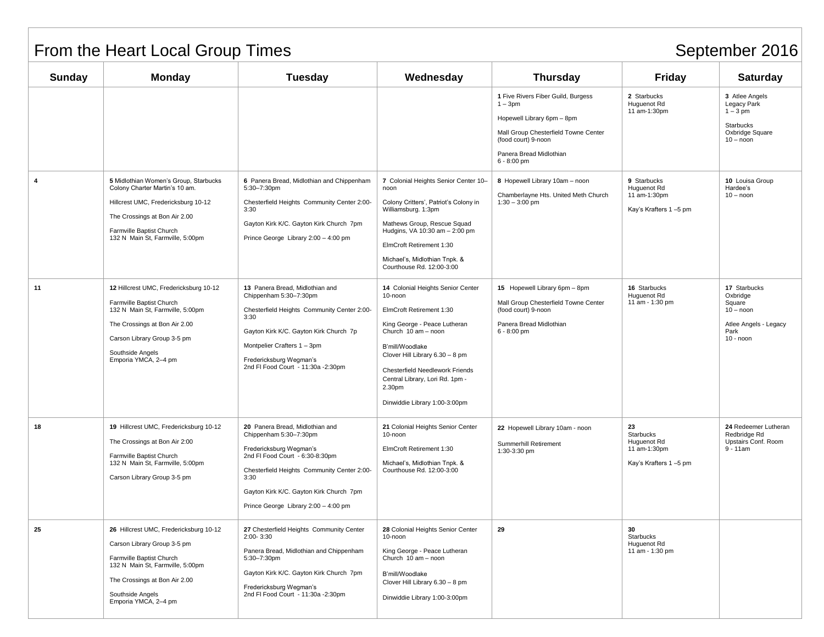# From the Heart Local Group Times September 2016

| <b>Sunday</b> | Monday                                                                                                                                                                                                             | <b>Tuesday</b>                                                                                                                                                                                                                                                    | Wednesday                                                                                                                                                                                                                                                                                              | <b>Thursday</b>                                                                                                                                                                          | <b>Friday</b>                                                           | <b>Saturday</b>                                                                                   |
|---------------|--------------------------------------------------------------------------------------------------------------------------------------------------------------------------------------------------------------------|-------------------------------------------------------------------------------------------------------------------------------------------------------------------------------------------------------------------------------------------------------------------|--------------------------------------------------------------------------------------------------------------------------------------------------------------------------------------------------------------------------------------------------------------------------------------------------------|------------------------------------------------------------------------------------------------------------------------------------------------------------------------------------------|-------------------------------------------------------------------------|---------------------------------------------------------------------------------------------------|
|               |                                                                                                                                                                                                                    |                                                                                                                                                                                                                                                                   |                                                                                                                                                                                                                                                                                                        | 1 Five Rivers Fiber Guild, Burgess<br>$1 - 3pm$<br>Hopewell Library 6pm - 8pm<br>Mall Group Chesterfield Towne Center<br>(food court) 9-noon<br>Panera Bread Midlothian<br>$6 - 8:00$ pm | 2 Starbucks<br>Huguenot Rd<br>11 am-1:30pm                              | 3 Atlee Angels<br>Legacy Park<br>$1 - 3$ pm<br>Starbucks<br>Oxbridge Square<br>$10 -$ noon        |
| 4             | 5 Midlothian Women's Group, Starbucks<br>Colony Charter Martin's 10 am.<br>Hillcrest UMC, Fredericksburg 10-12<br>The Crossings at Bon Air 2.00<br>Farmville Baptist Church<br>132 N Main St, Farmville, 5:00pm    | 6 Panera Bread, Midlothian and Chippenham<br>5:30-7:30pm<br>Chesterfield Heights Community Center 2:00-<br>3:30<br>Gayton Kirk K/C. Gayton Kirk Church 7pm<br>Prince George Library 2:00 - 4:00 pm                                                                | 7 Colonial Heights Senior Center 10-<br>noon<br>Colony Critters', Patriot's Colony in<br>Williamsburg. 1:3pm<br>Mathews Group, Rescue Squad<br>Hudgins, VA 10:30 am - 2:00 pm<br>ElmCroft Retirement 1:30<br>Michael's, Midlothian Tnpk. &<br>Courthouse Rd. 12:00-3:00                                | 8 Hopewell Library 10am - noon<br>Chamberlayne Hts. United Meth Church<br>$1:30 - 3:00$ pm                                                                                               | 9 Starbucks<br>Huguenot Rd<br>11 am-1:30pm<br>Kay's Krafters 1-5 pm     | 10 Louisa Group<br>Hardee's<br>$10 -$ noon                                                        |
| 11            | 12 Hillcrest UMC, Fredericksburg 10-12<br>Farmville Baptist Church<br>132 N Main St, Farmville, 5:00pm<br>The Crossings at Bon Air 2.00<br>Carson Library Group 3-5 pm<br>Southside Angels<br>Emporia YMCA, 2-4 pm | 13 Panera Bread, Midlothian and<br>Chippenham 5:30-7:30pm<br>Chesterfield Heights Community Center 2:00-<br>3:30<br>Gayton Kirk K/C. Gayton Kirk Church 7p<br>Montpelier Crafters 1 - 3pm<br>Fredericksburg Wegman's<br>2nd FI Food Court - 11:30a -2:30pm        | 14 Colonial Heights Senior Center<br>10-noon<br>ElmCroft Retirement 1:30<br>King George - Peace Lutheran<br>Church 10 am - noon<br>B'mill/Woodlake<br>Clover Hill Library 6.30 - 8 pm<br>Chesterfield Needlework Friends<br>Central Library, Lori Rd. 1pm -<br>2.30pm<br>Dinwiddie Library 1:00-3:00pm | 15 Hopewell Library 6pm - 8pm<br>Mall Group Chesterfield Towne Center<br>(food court) 9-noon<br>Panera Bread Midlothian<br>$6 - 8:00$ pm                                                 | 16 Starbucks<br>Huguenot Rd<br>11 am - 1:30 pm                          | 17 Starbucks<br>Oxbridge<br>Square<br>$10 -$ noon<br>Atlee Angels - Legacy<br>Park<br>$10 -$ noon |
| 18            | 19 Hillcrest UMC, Fredericksburg 10-12<br>The Crossings at Bon Air 2:00<br>Farmville Baptist Church<br>132 N Main St, Farmville, 5:00pm<br>Carson Library Group 3-5 pm                                             | 20 Panera Bread, Midlothian and<br>Chippenham 5:30-7:30pm<br>Fredericksburg Wegman's<br>2nd FI Food Court - 6:30-8:30pm<br>Chesterfield Heights Community Center 2:00-<br>3:30<br>Gayton Kirk K/C. Gayton Kirk Church 7pm<br>Prince George Library 2:00 - 4:00 pm | 21 Colonial Heights Senior Center<br>10-noon<br>ElmCroft Retirement 1:30<br>Michael's, Midlothian Tnpk. &<br>Courthouse Rd. 12:00-3:00                                                                                                                                                                 | 22 Hopewell Library 10am - noon<br>Summerhill Retirement<br>1:30-3:30 pm                                                                                                                 | 23<br>Starbucks<br>Huguenot Rd<br>11 am-1:30pm<br>Kay's Krafters 1-5 pm | 24 Redeemer Lutheran<br>Redbridge Rd<br>Upstairs Conf. Room<br>$9 - 11$ am                        |
| 25            | 26 Hillcrest UMC, Fredericksburg 10-12<br>Carson Library Group 3-5 pm<br>Farmville Baptist Church<br>132 N Main St, Farmville, 5:00pm<br>The Crossings at Bon Air 2.00<br>Southside Angels<br>Emporia YMCA, 2-4 pm | 27 Chesterfield Heights Community Center<br>2:00-3:30<br>Panera Bread, Midlothian and Chippenham<br>5:30-7:30pm<br>Gayton Kirk K/C. Gayton Kirk Church 7pm<br>Fredericksburg Wegman's<br>2nd FI Food Court - 11:30a - 2:30pm                                      | 28 Colonial Heights Senior Center<br>10-noon<br>King George - Peace Lutheran<br>Church 10 am - noon<br>B'mill/Woodlake<br>Clover Hill Library 6.30 - 8 pm<br>Dinwiddie Library 1:00-3:00pm                                                                                                             | 29                                                                                                                                                                                       | 30<br>Starbucks<br>Huguenot Rd<br>11 am - 1:30 pm                       |                                                                                                   |